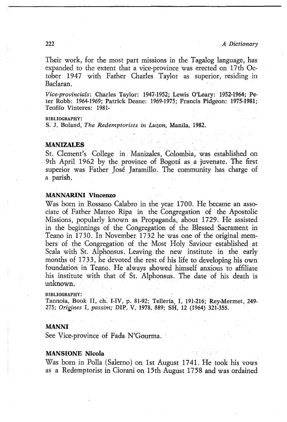## MANSIONE Nicola



 $\mathcal{L}^{\mathcal{L}}(\mathcal{L}^{\mathcal{L}})$  , the set of the set of the set of the set of the set of the set of the set of the set of the set of the set of the set of the set of the set of the set of the set of the set of the set of th